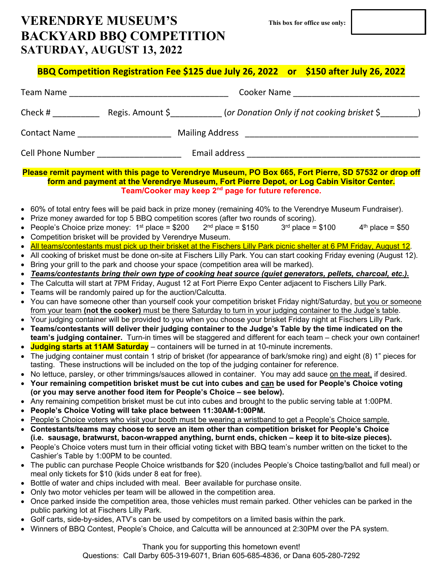# **VERENDRYE MUSEUM'S This box for office use only: BACKYARD BBQ COMPETITION SATURDAY, AUGUST 13, 2022**

#### **BBQ Competition Registration Fee \$125 due July 26, 2022 or \$150 after July 26, 2022**

| Team Name                                                                                                                                                                                                                                                                                                                        | Cooker Name<br><u> 1989 - Johann Barbara, martxa alemaniar a</u>                                                                                                                                                                                                                                                                                                                                                                                                                                        |  |  |  |
|----------------------------------------------------------------------------------------------------------------------------------------------------------------------------------------------------------------------------------------------------------------------------------------------------------------------------------|---------------------------------------------------------------------------------------------------------------------------------------------------------------------------------------------------------------------------------------------------------------------------------------------------------------------------------------------------------------------------------------------------------------------------------------------------------------------------------------------------------|--|--|--|
|                                                                                                                                                                                                                                                                                                                                  |                                                                                                                                                                                                                                                                                                                                                                                                                                                                                                         |  |  |  |
| Contact Name ____________________________ Mailing Address ______________________                                                                                                                                                                                                                                                 |                                                                                                                                                                                                                                                                                                                                                                                                                                                                                                         |  |  |  |
| Email address and the contract of the contract of the contract of the contract of the contract of the contract of the contract of the contract of the contract of the contract of the contract of the contract of the contract<br>Cell Phone Number _____________________                                                        |                                                                                                                                                                                                                                                                                                                                                                                                                                                                                                         |  |  |  |
| $\bullet$<br>$\bullet$                                                                                                                                                                                                                                                                                                           | Please remit payment with this page to Verendrye Museum, PO Box 665, Fort Pierre, SD 57532 or drop off<br>form and payment at the Verendrye Museum, Fort Pierre Depot, or Log Cabin Visitor Center.<br>Team/Cooker may keep 2 <sup>nd</sup> page for future reference.<br>60% of total entry fees will be paid back in prize money (remaining 40% to the Verendrye Museum Fundraiser).<br>Prize money awarded for top 5 BBQ competition scores (after two rounds of scoring).                           |  |  |  |
| $\bullet$<br>$\bullet$<br>$\bullet$<br>$\bullet$                                                                                                                                                                                                                                                                                 | People's Choice prize money: $1^{st}$ place = \$200 $2^{nd}$ place = \$150 $3^{rd}$ place = \$100 $4^{th}$ place = \$50<br>Competition brisket will be provided by Verendrye Museum.<br>All teams/contestants must pick up their brisket at the Fischers Lilly Park picnic shelter at 6 PM Friday, August 12.<br>All cooking of brisket must be done on-site at Fischers Lilly Park. You can start cooking Friday evening (August 12).                                                                  |  |  |  |
| $\bullet$<br>$\bullet$<br>$\bullet$<br>$\bullet$                                                                                                                                                                                                                                                                                 | Bring your grill to the park and choose your space (competition area will be marked).<br>Teams/contestants bring their own type of cooking heat source (quiet generators, pellets, charcoal, etc.).<br>The Calcutta will start at 7PM Friday, August 12 at Fort Pierre Expo Center adjacent to Fischers Lilly Park.<br>Teams will be randomly paired up for the auction/Calcutta.<br>• You can have someone other than yourself cook your competition brisket Friday night/Saturday, but you or someone |  |  |  |
|                                                                                                                                                                                                                                                                                                                                  | from your team (not the cooker) must be there Saturday to turn in your judging container to the Judge's table.<br>• Your judging container will be provided to you when you choose your brisket Friday night at Fischers Lilly Park.<br>• Teams/contestants will deliver their judging container to the Judge's Table by the time indicated on the<br>team's judging container. Turn-in times will be staggered and different for each team - check your own container!                                 |  |  |  |
| Judging starts at 11AM Saturday – containers will be turned in at 10-minute increments.<br>The judging container must contain 1 strip of brisket (for appearance of bark/smoke ring) and eight (8) 1" pieces for<br>$\bullet$<br>tasting. These instructions will be included on the top of the judging container for reference. |                                                                                                                                                                                                                                                                                                                                                                                                                                                                                                         |  |  |  |
| • No lettuce, parsley, or other trimmings/sauces allowed in container. You may add sauce on the meat, if desired.<br>• Your remaining competition brisket must be cut into cubes and can be used for People's Choice voting<br>(or you may serve another food item for People's Choice - see below).                             |                                                                                                                                                                                                                                                                                                                                                                                                                                                                                                         |  |  |  |
| $\bullet$                                                                                                                                                                                                                                                                                                                        | • Any remaining competition brisket must be cut into cubes and brought to the public serving table at 1:00PM.<br>People's Choice Voting will take place between 11:30AM-1:00PM.<br>People's Choice voters who visit your booth must be wearing a wristband to get a People's Choice sample.                                                                                                                                                                                                             |  |  |  |
| $\bullet$                                                                                                                                                                                                                                                                                                                        | Contestants/teams may choose to serve an item other than competition brisket for People's Choice<br>(i.e. sausage, bratwurst, bacon-wrapped anything, burnt ends, chicken - keep it to bite-size pieces).                                                                                                                                                                                                                                                                                               |  |  |  |
| People's Choice voters must turn in their official voting ticket with BBQ team's number written on the ticket to the<br>Cashier's Table by 1:00PM to be counted.<br>The public can purchase People Choice wristbands for \$20 (includes People's Choice tasting/ballot and full meal) or<br>$\bullet$                            |                                                                                                                                                                                                                                                                                                                                                                                                                                                                                                         |  |  |  |
| $\bullet$<br>٠<br>٠                                                                                                                                                                                                                                                                                                              | meal only tickets for \$10 (kids under 8 eat for free).<br>Bottle of water and chips included with meal. Beer available for purchase onsite.<br>Only two motor vehicles per team will be allowed in the competition area.<br>Once parked inside the competition area, those vehicles must remain parked. Other vehicles can be parked in the                                                                                                                                                            |  |  |  |

- public parking lot at Fischers Lilly Park.
- Golf carts, side-by-sides, ATV's can be used by competitors on a limited basis within the park.
- Winners of BBQ Contest, People's Choice, and Calcutta will be announced at 2:30PM over the PA system.